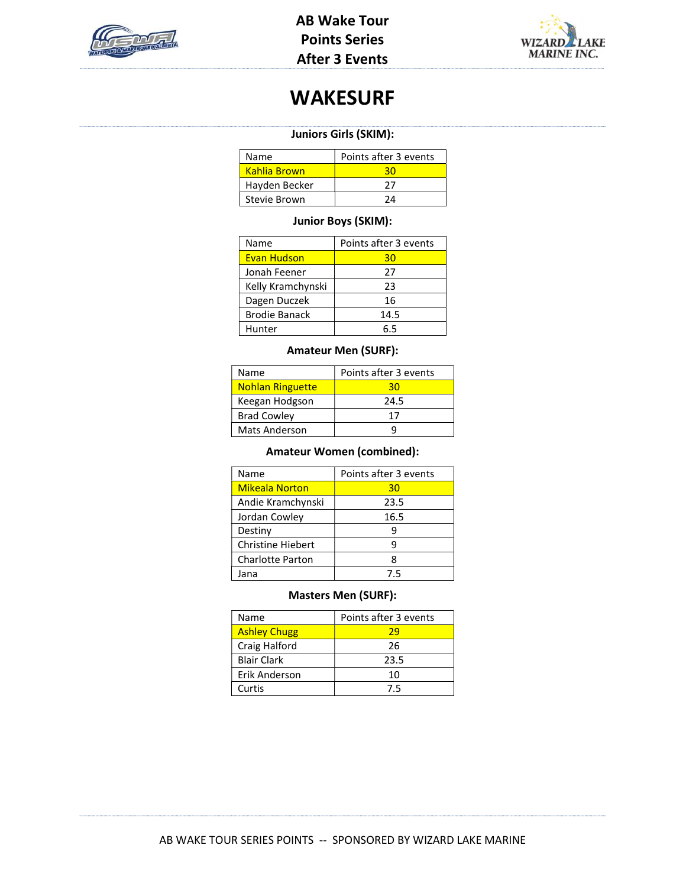



## WAKESURF

### Juniors Girls (SKIM):

| Name          | Points after 3 events |
|---------------|-----------------------|
| Kahlia Brown  |                       |
| Hayden Becker | 27                    |
| Stevie Brown  | 7Δ                    |

### Junior Boys (SKIM):

| Name                 | Points after 3 events |
|----------------------|-----------------------|
| <b>Evan Hudson</b>   | 30                    |
| Jonah Feener         | 27                    |
| Kelly Kramchynski    | 23                    |
| Dagen Duczek         | 16                    |
| <b>Brodie Banack</b> | 14.5                  |
| Hunter               | 5 S                   |

## Amateur Men (SURF):

| Name                    | Points after 3 events |
|-------------------------|-----------------------|
| <b>Nohlan Ringuette</b> | 30                    |
| Keegan Hodgson          | 24.5                  |
| <b>Brad Cowley</b>      | 17                    |
| <b>Mats Anderson</b>    |                       |

### Amateur Women (combined):

| Name                     | Points after 3 events |
|--------------------------|-----------------------|
| <b>Mikeala Norton</b>    | 30                    |
| Andie Kramchynski        | 23.5                  |
| Jordan Cowley            | 16.5                  |
| Destiny                  | g                     |
| <b>Christine Hiebert</b> | q                     |
| <b>Charlotte Parton</b>  |                       |
| Jana                     | 7.5                   |

#### Masters Men (SURF):

| Name                | Points after 3 events |
|---------------------|-----------------------|
| <b>Ashley Chugg</b> | 29                    |
| Craig Halford       | 26                    |
| <b>Blair Clark</b>  | 23.5                  |
| Erik Anderson       | 10                    |
| Curtis              | 75                    |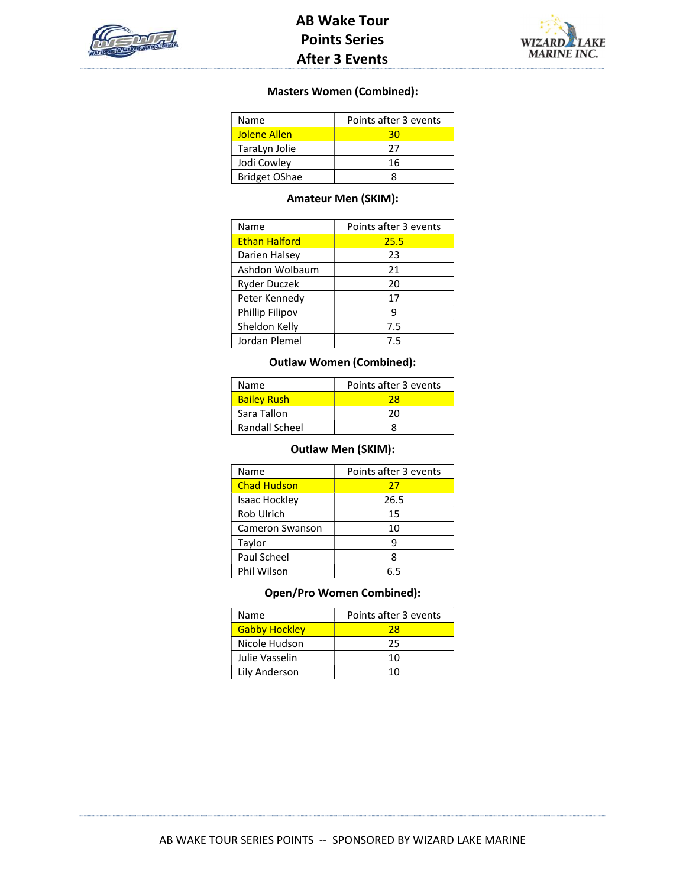

## AB Wake Tour Points Series After 3 Events



### Masters Women (Combined):

| Name                 | Points after 3 events |
|----------------------|-----------------------|
| <b>Jolene Allen</b>  | зn                    |
| TaraLyn Jolie        | 27                    |
| Jodi Cowley          | 16                    |
| <b>Bridget OShae</b> |                       |

### Amateur Men (SKIM):

| Name                 | Points after 3 events |
|----------------------|-----------------------|
| <b>Ethan Halford</b> | 25.5                  |
| Darien Halsey        | 23                    |
| Ashdon Wolbaum       | 21                    |
| <b>Ryder Duczek</b>  | 20                    |
| Peter Kennedy        | 17                    |
| Phillip Filipov      | 9                     |
| Sheldon Kelly        | 7.5                   |
| Jordan Plemel        | 75                    |

### Outlaw Women (Combined):

| Name               | Points after 3 events |
|--------------------|-----------------------|
| <b>Bailey Rush</b> | 28                    |
| Sara Tallon        | 20                    |
| Randall Scheel     |                       |

## Outlaw Men (SKIM):

| Name               | Points after 3 events |
|--------------------|-----------------------|
| <b>Chad Hudson</b> | 27                    |
| Isaac Hockley      | 26.5                  |
| Rob Ulrich         | 15                    |
| Cameron Swanson    | 10                    |
| Taylor             | 9                     |
| Paul Scheel        | Զ                     |
| Phil Wilson        | 6 5                   |

## Open/Pro Women Combined):

| Name                 | Points after 3 events |
|----------------------|-----------------------|
| <b>Gabby Hockley</b> | 28                    |
| Nicole Hudson        | 25                    |
| Julie Vasselin       | 10                    |
| Lily Anderson        | 1 በ                   |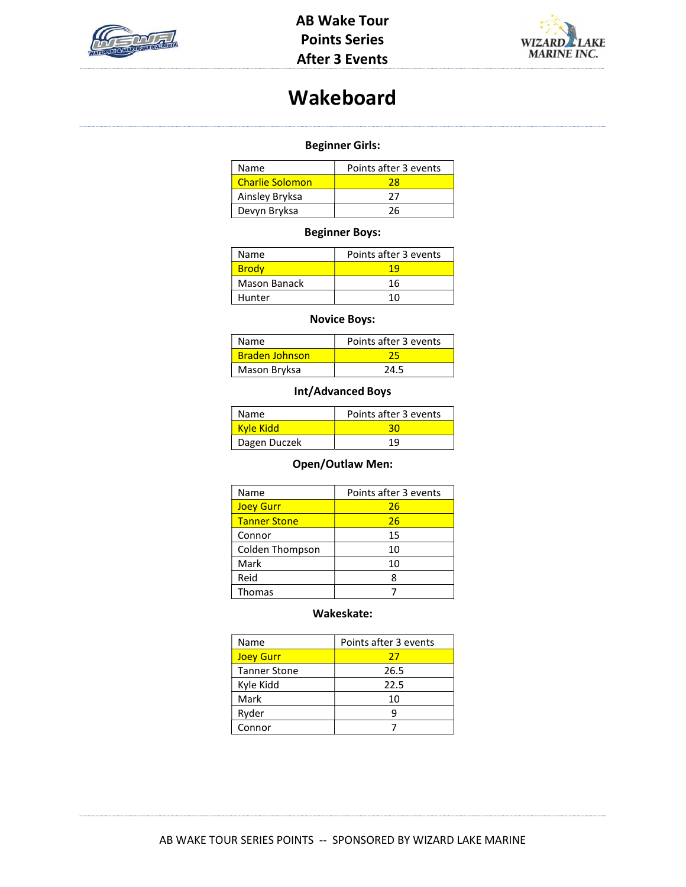



# Wakeboard

## Beginner Girls:

| Name                   | Points after 3 events |
|------------------------|-----------------------|
| <b>Charlie Solomon</b> | 28                    |
| Ainsley Bryksa         | つフ                    |
| Devyn Bryksa           | 26                    |

## Beginner Boys:

| Name         | Points after 3 events |
|--------------|-----------------------|
| <b>Brody</b> |                       |
| Mason Banack | 16                    |
| Hunter       | 10                    |
|              |                       |

## Novice Boys:

| <b>Name</b>           | Points after 3 events |
|-----------------------|-----------------------|
| <b>Braden Johnson</b> |                       |
| Mason Bryksa          | 24.5                  |

## Int/Advanced Boys

| <b>Name</b>  | Points after 3 events |
|--------------|-----------------------|
| Kyle Kidd    |                       |
| Dagen Duczek | 19                    |

## Open/Outlaw Men:

| Name                | Points after 3 events |
|---------------------|-----------------------|
| <b>Joey Gurr</b>    | 26                    |
| <b>Tanner Stone</b> | 26                    |
| Connor              | 15                    |
| Colden Thompson     | 10                    |
| Mark                | 10                    |
| Reid                | 8                     |
| <b>Thomas</b>       |                       |

#### Wakeskate:

| Name                | Points after 3 events |
|---------------------|-----------------------|
| <b>Joey Gurr</b>    | 27                    |
| <b>Tanner Stone</b> | 26.5                  |
| Kyle Kidd           | 22.5                  |
| Mark                | 10                    |
| Ryder               |                       |
| Connor              |                       |